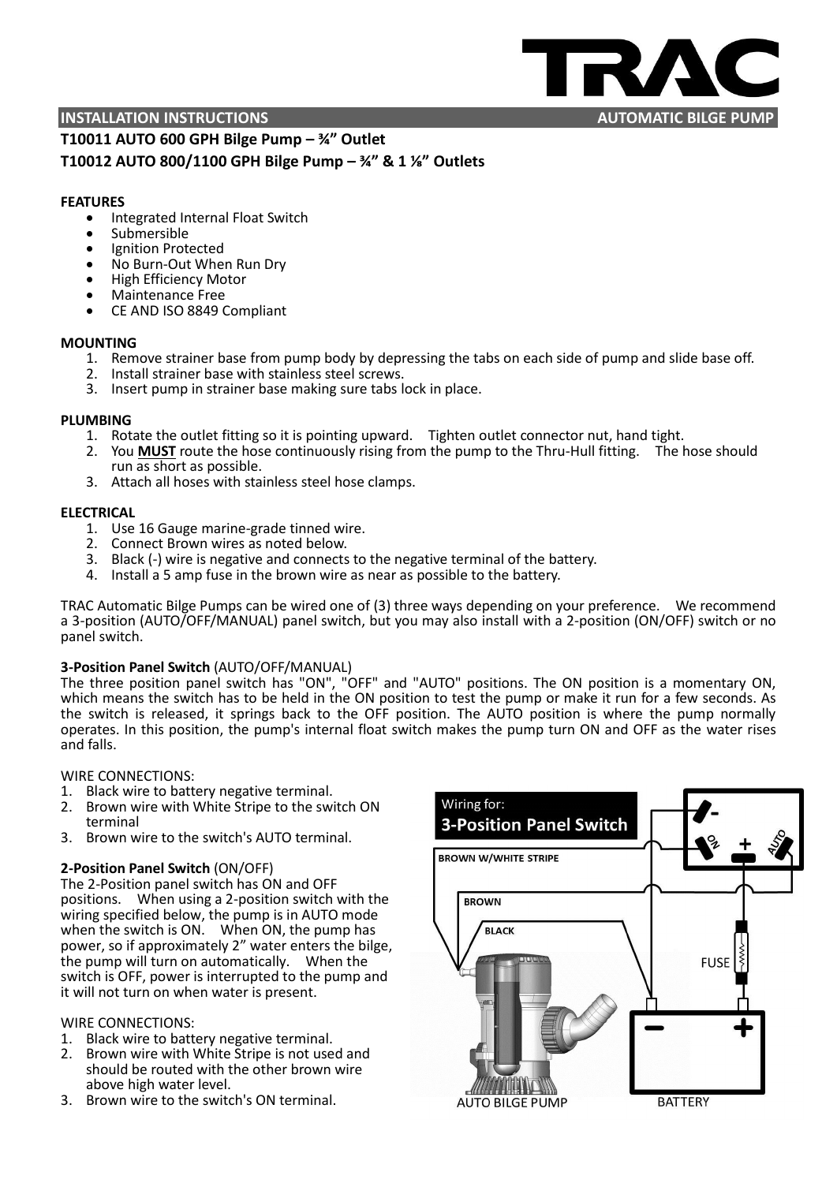

# **T10011 AUTO 600 GPH Bilge Pump – ¾" Outlet T10012 AUTO 800/1100 GPH Bilge Pump – ¾" & 1 ⅛" Outlets**

# **FEATURES**

- Integrated Internal Float Switch
- Submersible
- Ignition Protected
- No Burn-Out When Run Dry
- High Efficiency Motor
- Maintenance Free
- CE AND ISO 8849 Compliant

# **MOUNTING**

- 1. Remove strainer base from pump body by depressing the tabs on each side of pump and slide base off.
- 2. Install strainer base with stainless steel screws.
- 3. Insert pump in strainer base making sure tabs lock in place.

# **PLUMBING**

- 1. Rotate the outlet fitting so it is pointing upward. Tighten outlet connector nut, hand tight.
- 2. You **MUST** route the hose continuously rising from the pump to the Thru-Hull fitting. The hose should run as short as possible.
- 3. Attach all hoses with stainless steel hose clamps.

# **ELECTRICAL**

- 1. Use 16 Gauge marine-grade tinned wire.
- 2. Connect Brown wires as noted below.
- 3. Black (-) wire is negative and connects to the negative terminal of the battery.
- 4. Install a 5 amp fuse in the brown wire as near as possible to the battery.

TRAC Automatic Bilge Pumps can be wired one of (3) three ways depending on your preference. We recommend a 3-position (AUTO/OFF/MANUAL) panel switch, but you may also install with a 2-position (ON/OFF) switch or no panel switch.

# **3-Position Panel Switch** (AUTO/OFF/MANUAL)

The three position panel switch has "ON", "OFF" and "AUTO" positions. The ON position is a momentary ON, which means the switch has to be held in the ON position to test the pump or make it run for a few seconds. As the switch is released, it springs back to the OFF position. The AUTO position is where the pump normally operates. In this position, the pump's internal float switch makes the pump turn ON and OFF as the water rises and falls.

WIRE CONNECTIONS:

- 1. Black wire to battery negative terminal.
- 2. Brown wire with White Stripe to the switch ON terminal
- 3. Brown wire to the switch's AUTO terminal.

# **2-Position Panel Switch** (ON/OFF)

The 2-Position panel switch has ON and OFF positions. When using a 2-position switch with the wiring specified below, the pump is in AUTO mode when the switch is ON. When ON, the pump has power, so if approximately 2" water enters the bilge, the pump will turn on automatically. When the switch is OFF, power is interrupted to the pump and it will not turn on when water is present.

# WIRE CONNECTIONS:

- 1. Black wire to battery negative terminal.
- 2. Brown wire with White Stripe is not used and should be routed with the other brown wire above high water level.
- 3. Brown wire to the switch's ON terminal.